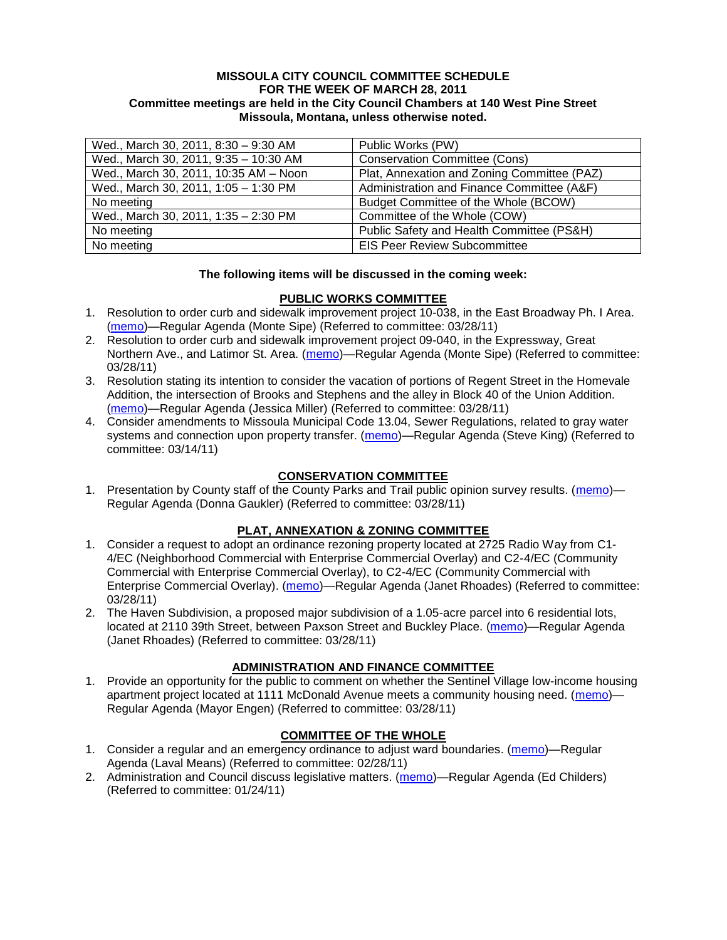### **MISSOULA CITY COUNCIL COMMITTEE SCHEDULE FOR THE WEEK OF MARCH 28, 2011 Committee meetings are held in the City Council Chambers at 140 West Pine Street Missoula, Montana, unless otherwise noted.**

| Wed., March 30, 2011, 8:30 - 9:30 AM  | Public Works (PW)                           |
|---------------------------------------|---------------------------------------------|
| Wed., March 30, 2011, 9:35 - 10:30 AM | <b>Conservation Committee (Cons)</b>        |
| Wed., March 30, 2011, 10:35 AM - Noon | Plat, Annexation and Zoning Committee (PAZ) |
| Wed., March 30, 2011, 1:05 - 1:30 PM  | Administration and Finance Committee (A&F)  |
| No meeting                            | Budget Committee of the Whole (BCOW)        |
| Wed., March 30, 2011, 1:35 - 2:30 PM  | Committee of the Whole (COW)                |
| No meeting                            | Public Safety and Health Committee (PS&H)   |
| No meeting                            | <b>EIS Peer Review Subcommittee</b>         |

### **The following items will be discussed in the coming week:**

### **PUBLIC WORKS COMMITTEE**

- 1. Resolution to order curb and sidewalk improvement project 10-038, in the East Broadway Ph. I Area. [\(memo\)](http://www.ci.missoula.mt.us/DocumentView.aspx?DID=5845)—Regular Agenda (Monte Sipe) (Referred to committee: 03/28/11)
- 2. Resolution to order curb and sidewalk improvement project 09-040, in the Expressway, Great Northern Ave., and Latimor St. Area. [\(memo\)](http://www.ci.missoula.mt.us/DocumentView.aspx?DID=5844)—Regular Agenda (Monte Sipe) (Referred to committee: 03/28/11)
- 3. Resolution stating its intention to consider the vacation of portions of Regent Street in the Homevale Addition, the intersection of Brooks and Stephens and the alley in Block 40 of the Union Addition. [\(memo\)](http://www.ci.missoula.mt.us/DocumentView.aspx?DID=5843)—Regular Agenda (Jessica Miller) (Referred to committee: 03/28/11)
- 4. Consider amendments to Missoula Municipal Code 13.04, Sewer Regulations, related to gray water systems and connection upon property transfer. [\(memo\)](http://www.ci.missoula.mt.us/DocumentView.aspx?DID=5722)—Regular Agenda (Steve King) (Referred to committee: 03/14/11)

## **CONSERVATION COMMITTEE**

1. Presentation by County staff of the County Parks and Trail public opinion survey results. [\(memo\)](http://www.ci.missoula.mt.us/DocumentView.aspx?DID=5835)-Regular Agenda (Donna Gaukler) (Referred to committee: 03/28/11)

## **PLAT, ANNEXATION & ZONING COMMITTEE**

- 1. Consider a request to adopt an ordinance rezoning property located at 2725 Radio Way from C1- 4/EC (Neighborhood Commercial with Enterprise Commercial Overlay) and C2-4/EC (Community Commercial with Enterprise Commercial Overlay), to C2-4/EC (Community Commercial with Enterprise Commercial Overlay). [\(memo\)](http://www.ci.missoula.mt.us/DocumentView.aspx?DID=5796)—Regular Agenda (Janet Rhoades) (Referred to committee: 03/28/11)
- 2. The Haven Subdivision, a proposed major subdivision of a 1.05-acre parcel into 6 residential lots, located at 2110 39th Street, between Paxson Street and Buckley Place. [\(memo\)](http://www.ci.missoula.mt.us/DocumentView.aspx?DID=5842)—Regular Agenda (Janet Rhoades) (Referred to committee: 03/28/11)

## **ADMINISTRATION AND FINANCE COMMITTEE**

1. Provide an opportunity for the public to comment on whether the Sentinel Village low-income housing apartment project located at 1111 McDonald Avenue meets a community housing need. [\(memo\)](http://www.ci.missoula.mt.us/DocumentView.aspx?DID=5841)— Regular Agenda (Mayor Engen) (Referred to committee: 03/28/11)

## **COMMITTEE OF THE WHOLE**

- 1. Consider a regular and an emergency ordinance to adjust ward boundaries. [\(memo\)](http://www.ci.missoula.mt.us/DocumentView.aspx?DID=5641)—Regular Agenda (Laval Means) (Referred to committee: 02/28/11)
- 2. Administration and Council discuss legislative matters. [\(memo\)](http://www.ci.missoula.mt.us/DocumentView.aspx?DID=5433)—Regular Agenda (Ed Childers) (Referred to committee: 01/24/11)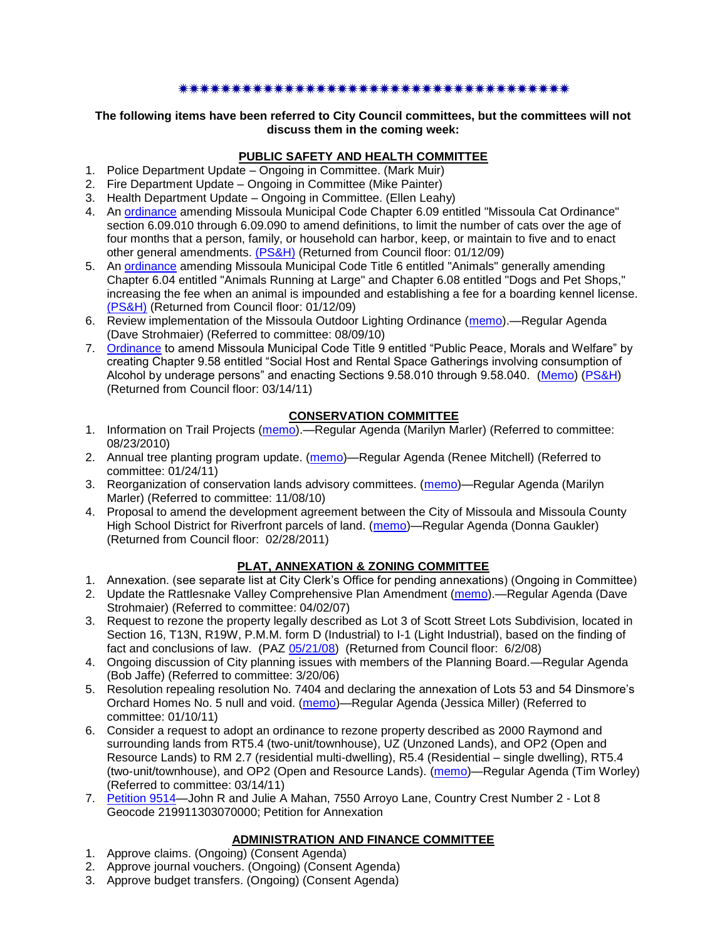#### \*\*\*\*\*\*\*\*\*\*\*\*\*\*\*\*\*\*\*\*\*\*\*\*\*\*\*\*\*\*\*\*\*\*

#### **The following items have been referred to City Council committees, but the committees will not discuss them in the coming week:**

# **PUBLIC SAFETY AND HEALTH COMMITTEE**

- 1. Police Department Update Ongoing in Committee. (Mark Muir)
- 2. Fire Department Update Ongoing in Committee (Mike Painter)
- 3. Health Department Update Ongoing in Committee. (Ellen Leahy)
- 4. An [ordinance](ftp://ftp.ci.missoula.mt.us/Packets/Council/2008/2008-12-15/2008CatOrdinanceAmendment%5B1%5D.pdf) amending Missoula Municipal Code Chapter 6.09 entitled "Missoula Cat Ordinance" section 6.09.010 through 6.09.090 to amend definitions, to limit the number of cats over the age of four months that a person, family, or household can harbor, keep, or maintain to five and to enact other general amendments. [\(PS&H\)](ftp://ftp.ci.missoula.mt.us/Packets/Council/2008/2008-12-15/081210psh.pdf) (Returned from Council floor: 01/12/09)
- 5. An [ordinance](ftp://ftp.ci.missoula.mt.us/Packets/Council/2008/2008-12-15/DogOrdinance--PSHrevisions.pdf) amending Missoula Municipal Code Title 6 entitled "Animals" generally amending Chapter 6.04 entitled "Animals Running at Large" and Chapter 6.08 entitled "Dogs and Pet Shops," increasing the fee when an animal is impounded and establishing a fee for a boarding kennel license. [\(PS&H\)](ftp://ftp.ci.missoula.mt.us/Packets/Council/2008/2008-12-15/081210psh.pdf) (Returned from Council floor: 01/12/09)
- 6. Review implementation of the Missoula Outdoor Lighting Ordinance [\(memo\)](http://www.ci.missoula.mt.us/DocumentView.aspx?DID=4420).—Regular Agenda (Dave Strohmaier) (Referred to committee: 08/09/10)
- 7. [Ordinance](http://www.ci.missoula.mt.us/DocumentView.aspx?DID=5133) to amend Missoula Municipal Code Title 9 entitled "Public Peace, Morals and Welfare" by creating Chapter 9.58 entitled "Social Host and Rental Space Gatherings involving consumption of Alcohol by underage persons" and enacting Sections 9.58.010 through 9.58.040. [\(Memo\)](http://www.ci.missoula.mt.us/DocumentView.aspx?DID=5149) [\(PS&H\)](http://www.ci.missoula.mt.us/Archive.aspx?ADID=3550) (Returned from Council floor: 03/14/11)

## **CONSERVATION COMMITTEE**

- 1. Information on Trail Projects [\(memo\)](http://www.ci.missoula.mt.us/DocumentView.aspx?DID=4477).—Regular Agenda (Marilyn Marler) (Referred to committee: 08/23/2010)
- 2. Annual tree planting program update. [\(memo\)](http://www.ci.missoula.mt.us/DocumentView.aspx?DID=5425)—Regular Agenda (Renee Mitchell) (Referred to committee: 01/24/11)
- 3. Reorganization of conservation lands advisory committees. [\(memo\)](http://www.ci.missoula.mt.us/DocumentView.aspx?DID=4957)—Regular Agenda (Marilyn Marler) (Referred to committee: 11/08/10)
- 4. Proposal to amend the development agreement between the City of Missoula and Missoula County High School District for Riverfront parcels of land. [\(memo\)](http://www.ci.missoula.mt.us/DocumentView.aspx?DID=5549)—Regular Agenda (Donna Gaukler) (Returned from Council floor: 02/28/2011)

## **PLAT, ANNEXATION & ZONING COMMITTEE**

- 1. Annexation. (see separate list at City Clerk's Office for pending annexations) (Ongoing in Committee)
- 2. Update the Rattlesnake Valley Comprehensive Plan Amendment [\(memo\)](ftp://ftp.ci.missoula.mt.us/Packets/Council/2007/2007-04-02/Referrals/Rattlesnake_Plan_Update_referral.pdf).—Regular Agenda (Dave Strohmaier) (Referred to committee: 04/02/07)
- 3. Request to rezone the property legally described as Lot 3 of Scott Street Lots Subdivision, located in Section 16, T13N, R19W, P.M.M. form D (Industrial) to I-1 (Light Industrial), based on the finding of fact and conclusions of law. (PAZ [05/21/08\)](ftp://ftp.ci.missoula.mt.us/Packets/Council/2008/2008-06-02/080521paz.pdf) (Returned from Council floor: 6/2/08)
- 4. Ongoing discussion of City planning issues with members of the Planning Board.—Regular Agenda (Bob Jaffe) (Referred to committee: 3/20/06)
- 5. Resolution repealing resolution No. 7404 and declaring the annexation of Lots 53 and 54 Dinsmore's Orchard Homes No. 5 null and void. [\(memo\)](http://www.ci.missoula.mt.us/DocumentView.aspx?DID=5349)—Regular Agenda (Jessica Miller) (Referred to committee: 01/10/11)
- 6. Consider a request to adopt an ordinance to rezone property described as 2000 Raymond and surrounding lands from RT5.4 (two-unit/townhouse), UZ (Unzoned Lands), and OP2 (Open and Resource Lands) to RM 2.7 (residential multi-dwelling), R5.4 (Residential – single dwelling), RT5.4 (two-unit/townhouse), and OP2 (Open and Resource Lands). [\(memo\)](http://www.ci.missoula.mt.us/DocumentView.aspx?DID=5731)—Regular Agenda (Tim Worley) (Referred to committee: 03/14/11)
- 7. [Petition 9514—](http://www.ci.missoula.mt.us/DocumentView.aspx?DID=5794)John R and Julie A Mahan, 7550 Arroyo Lane, Country Crest Number 2 Lot 8 Geocode 219911303070000; Petition for Annexation

## **ADMINISTRATION AND FINANCE COMMITTEE**

- 1. Approve claims. (Ongoing) (Consent Agenda)
- 2. Approve journal vouchers. (Ongoing) (Consent Agenda)
- 3. Approve budget transfers. (Ongoing) (Consent Agenda)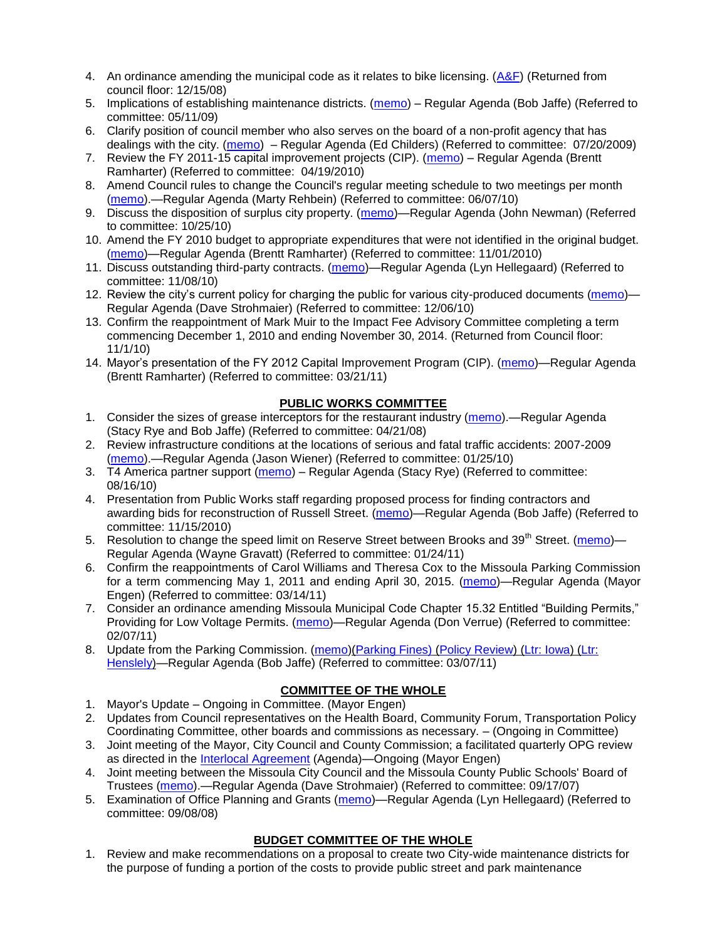- 4. An ordinance amending the municipal code as it relates to bike licensing.  $(A\&F)$  (Returned from council floor: 12/15/08)
- 5. Implications of establishing maintenance districts. [\(memo\)](ftp://ftp.ci.missoula.mt.us/Packets/Council/2009/2009-05-11/Referrals/MaintenanceDistricts.pdf) Regular Agenda (Bob Jaffe) (Referred to committee: 05/11/09)
- 6. Clarify position of council member who also serves on the board of a non-profit agency that has dealings with the city. [\(memo\)](http://www.ci.missoula.mt.us/DocumentView.aspx?DID=1840) – Regular Agenda (Ed Childers) (Referred to committee: 07/20/2009)
- 7. Review the FY 2011-15 capital improvement projects (CIP). [\(memo\)](http://www.ci.missoula.mt.us/DocumentView.aspx?DID=3522) Regular Agenda (Brentt Ramharter) (Referred to committee: 04/19/2010)
- 8. Amend Council rules to change the Council's regular meeting schedule to two meetings per month [\(memo\)](http://www.ci.missoula.mt.us/DocumentView.aspx?DID=4027).—Regular Agenda (Marty Rehbein) (Referred to committee: 06/07/10)
- 9. Discuss the disposition of surplus city property. [\(memo\)](http://www.ci.missoula.mt.us/DocumentView.aspx?DID=4862)—Regular Agenda (John Newman) (Referred to committee: 10/25/10)
- 10. Amend the FY 2010 budget to appropriate expenditures that were not identified in the original budget. [\(memo\)](http://www.ci.missoula.mt.us/DocumentView.aspx?DID=4883)—Regular Agenda (Brentt Ramharter) (Referred to committee: 11/01/2010)
- 11. Discuss outstanding third-party contracts. [\(memo\)](http://www.ci.missoula.mt.us/DocumentView.aspx?DID=4956)—Regular Agenda (Lyn Hellegaard) (Referred to committee: 11/08/10)
- 12. Review the city's current policy for charging the public for various city-produced documents [\(memo\)](http://www.ci.missoula.mt.us/DocumentView.aspx?DID=5143) Regular Agenda (Dave Strohmaier) (Referred to committee: 12/06/10)
- 13. Confirm the reappointment of Mark Muir to the Impact Fee Advisory Committee completing a term commencing December 1, 2010 and ending November 30, 2014. (Returned from Council floor: 11/1/10)
- 14. Mayor's presentation of the FY 2012 Capital Improvement Program (CIP). [\(memo\)](http://www.ci.missoula.mt.us/DocumentView.aspx?DID=5789)—Regular Agenda (Brentt Ramharter) (Referred to committee: 03/21/11)

## **PUBLIC WORKS COMMITTEE**

- 1. Consider the sizes of grease interceptors for the restaurant industry [\(memo\)](ftp://ftp.ci.missoula.mt.us/Packets/Council/2008/2008-04-21/Referrals/Industrial_waste_restaurants.pdf).—Regular Agenda (Stacy Rye and Bob Jaffe) (Referred to committee: 04/21/08)
- 2. Review infrastructure conditions at the locations of serious and fatal traffic accidents: 2007-2009 [\(memo\)](http://www.ci.missoula.mt.us/DocumentView.aspx?DID=3031).—Regular Agenda (Jason Wiener) (Referred to committee: 01/25/10)
- 3. T4 America partner support [\(memo\)](http://www.ci.missoula.mt.us/DocumentView.aspx?DID=4452) Regular Agenda (Stacy Rye) (Referred to committee: 08/16/10)
- 4. Presentation from Public Works staff regarding proposed process for finding contractors and awarding bids for reconstruction of Russell Street. [\(memo\)](http://www.ci.missoula.mt.us/DocumentView.aspx?DID=5042)—Regular Agenda (Bob Jaffe) (Referred to committee: 11/15/2010)
- 5. Resolution to change the speed limit on Reserve Street between Brooks and 39<sup>th</sup> Street. [\(memo\)](http://www.ci.missoula.mt.us/DocumentView.aspx?DID=5418) Regular Agenda (Wayne Gravatt) (Referred to committee: 01/24/11)
- 6. Confirm the reappointments of Carol Williams and Theresa Cox to the Missoula Parking Commission for a term commencing May 1, 2011 and ending April 30, 2015. [\(memo\)](http://www.ci.missoula.mt.us/DocumentView.aspx?DID=5727)—Regular Agenda (Mayor Engen) (Referred to committee: 03/14/11)
- 7. Consider an ordinance amending Missoula Municipal Code Chapter 15.32 Entitled "Building Permits," Providing for Low Voltage Permits. [\(memo\)](http://www.ci.missoula.mt.us/DocumentView.aspx?DID=5548)—Regular Agenda (Don Verrue) (Referred to committee: 02/07/11)
- 8. Update from the Parking Commission. [\(memo\)](http://www.ci.missoula.mt.us/DocumentView.aspx?DID=5666)[\(Parking Fines\)](http://www.ci.missoula.mt.us/DocumentView.aspx?DID=5802) [\(Policy Review\)](http://www.ci.missoula.mt.us/DocumentView.aspx?DID=5799) [\(Ltr: Iowa\)](http://www.ci.missoula.mt.us/DocumentView.aspx?DID=5803) (Ltr: [Henslely\)](http://www.ci.missoula.mt.us/DocumentView.aspx?DID=5804)—Regular Agenda (Bob Jaffe) (Referred to committee: 03/07/11)

# **COMMITTEE OF THE WHOLE**

- 1. Mayor's Update Ongoing in Committee. (Mayor Engen)
- 2. Updates from Council representatives on the Health Board, Community Forum, Transportation Policy Coordinating Committee, other boards and commissions as necessary. – (Ongoing in Committee)
- 3. Joint meeting of the Mayor, City Council and County Commission; a facilitated quarterly OPG review as directed in the [Interlocal Agreement](ftp://ftp.ci.missoula.mt.us/Documents/Mayor/OPG/Adopted-ILA-2005.pdf) (Agenda)—Ongoing (Mayor Engen)
- 4. Joint meeting between the Missoula City Council and the Missoula County Public Schools' Board of Trustees [\(memo\)](ftp://ftp.ci.missoula.mt.us/Packets/Council/2007/2007-09-17/Referrals/Council_School_Board_referral.pdf).—Regular Agenda (Dave Strohmaier) (Referred to committee: 09/17/07)
- 5. Examination of Office Planning and Grants [\(memo\)](ftp://ftp.ci.missoula.mt.us/Packets/Council/2008/2008-09-08/Referrals/080825HendricksonOPGreferral.pdf)—Regular Agenda (Lyn Hellegaard) (Referred to committee: 09/08/08)

## **BUDGET COMMITTEE OF THE WHOLE**

1. Review and make recommendations on a proposal to create two City-wide maintenance districts for the purpose of funding a portion of the costs to provide public street and park maintenance